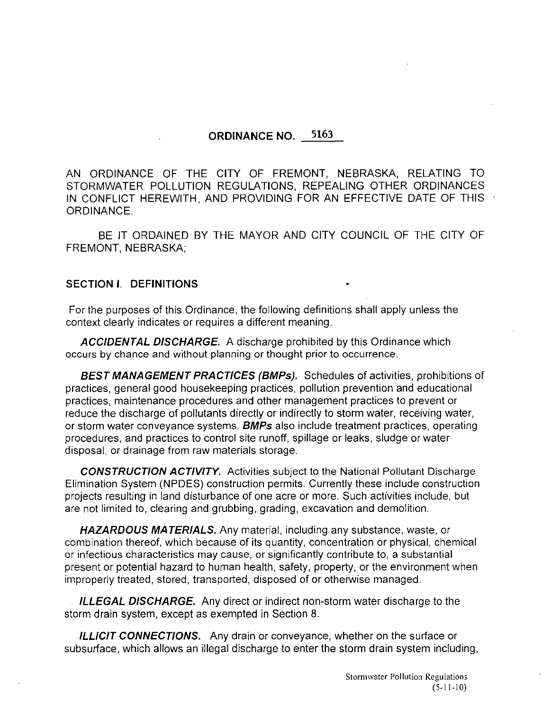#### ORDINANCE NO. 5163

AN ORDINANCE OF THE CITY OF FREMONT, NEBRASKA, RELATING TO STORMWATER POLLUTION REGULATIONS, REPEALING OTHER ORDINANCES IN CONFLICT HEREWITH, AND PROVIDING FOR AN EFFECTIVE DATE OF THIS ORDINANCE.

BE IT ORDAINED BY THE MAYOR AND CITY COUNCIL OF THE CITY OF FREMONT, NEBRASKA;

#### SECTION I. DEFINITIONS

For the purposes of this Ordinance, the following definitions shall apply unless the context clearly indicates or requires a different meaning.

ACCIDENTAL DISCHARGE. A discharge prohibited by this Ordinance which occurs by chance and without planning or thought prior to occurrence.

BEST MANAGEMENT PRACTICES (BMPs). Schedules of activities, prohibitions of practices, general good housekeeping practices, pollution prevention and educational practices, maintenance procedures and other management practices to prevent or reduce the discharge of pollutants directly or indirectly to storm water, receiving water, or storm water conveyance systems. **BMPs** also include treatment practices, operating procedures, and practices to control site runoff, spillage or leaks, sludge or water disposal, or drainage from raw materials storage.

CONSTRUCTION ACTIVITY. Activities subject to the National Pollutant Discharge Elimination System (NPDES) construction permits. Currently these include construction projects resulting in land disturbance of one acre or more. Such activities include, but are not limited to, clearing and grubbing, grading, excavation and demolition.

HAZARDOUS MATERIALS. Any material, including any substance, waste, or combination thereof, which because of its quantity, concentration or physical, chemical or infectious characteristics may cause, or significantly contribute to, a substantial present or potential hazard to human health, safety, property, or the environment when improperly treated, stored, transported, disposed of or otherwise managed.

ILLEGAL DISCHARGE. Any direct or indirect non-storm water discharge to the storm drain system, except as exempted in Section B.

**ILLICIT CONNECTIONS.** Any drain or conveyance, whether on the surface or subsurface, which allows an illegal discharge to enter the storm drain system including,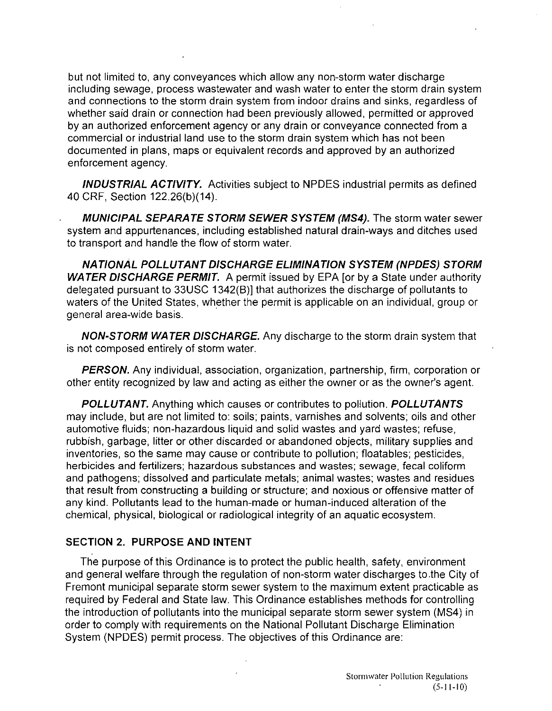but not limited to, any conveyances which allow any non-storm water discharge including sewage, process wastewater and wash water to enter the storm drain system and connections to the storm drain system from indoor drains and sinks, regardless of whether said drain or connection had been previously allowed, permitted or approved by an authorized enforcement agency or any drain or conveyance connected from a commercial or industrial land use to the storm drain system which has not been documented in plans, maps or equivalent records and approved by an authorized enforcement agency.

**INDUSTRIAL ACTIVITY.** Activities subject to NPDES industrial permits as defined 40 CRF, Section 122.26(b)(14).

**MUNICIPAL SEPARATE STORM SEWER SYSTEM (MS4).** The storm water sewer system and appurtenances, including established natural drain-ways and ditches used to transport and handle the flow of storm water.

**NATIONAL POLLUTANT DISCHARGE ELIMINATION SYSTEM (NPDES) STORM WATER DISCHARGE PERMIT.** A permit issued by EPA [or by a State under authority delegated pursuant to 33USC 1342(B)] that authorizes the discharge of pollutants to waters of the United States, whether the permit is applicable on an individual, group or general area-wide basis.

**NON-STORM WATER DISCHARGE.** Any discharge to the storm drain system that is not composed entirely of storm water.

**PERSON.** Any individual, association, organization, partnership, firm, corporation or other entity recognized by law and acting as either the owner or as the owner's agent.

**POLLUTANT.** Anything which causes or contributes to pollution. **POLLUTANTS**  may include, but are not limited to: soils; paints, varnishes and solvents; oils and other automotive fluids; non-hazardous liquid and solid wastes and yard wastes; refuse, rubbish, garbage, litter or other discarded or abandoned objects, military supplies and inventories, so the same may cause or contribute to pollution; floatables; pesticides, herbicides and fertilizers; hazardous substances and wastes; sewage, fecal coliform and pathogens; dissolved and particulate metals; animal wastes; wastes and residues that result from constructing a building or structure; and noxious or offensive matter of any kind. Pollutants lead to the human-made or human-induced alteration of the chemical, physical, biological or radiological integrity of an aquatic ecosystem.

#### **SECTION 2. PURPOSE AND INTENT**

The purpose of this Ordinance is to protect the public health, safety, environment and general welfare through the regulation of non-storm water discharges to .the City of Fremont municipal separate storm sewer system to the maximum extent practicable as required by Federal and State law. This Ordinance establishes methods for controlling the introduction of pollutants into the municipal separate storm sewer system (MS4) in order to comply with requirements on the National Pollutant Discharge Elimination System (NPDES) permit process. The objectives of this Ordinance are: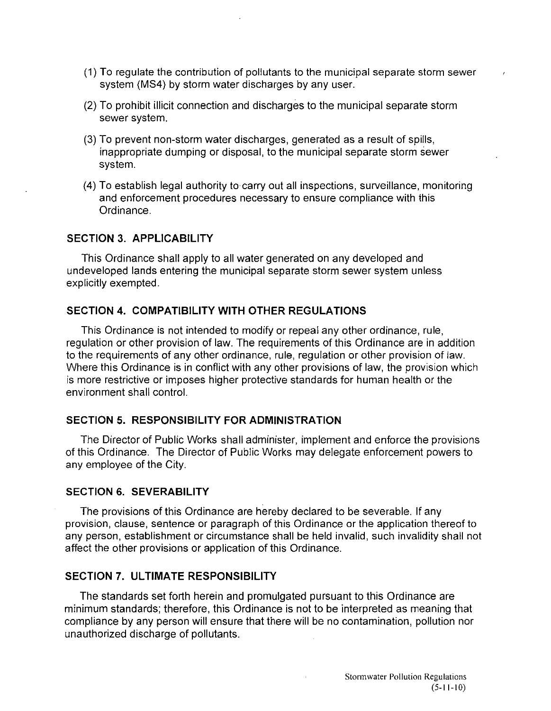- (1) To regulate the contribution of pollutants to the municipal separate storm sewer system (MS4) by storm water discharges by any user.
- (2) To prohibit illicit connection and discharges to the municipal separate storm sewer system.
- (3) To prevent non-storm water discharges, generated as a result of spills, inappropriate dumping or disposal, to the municipal separate storm sewer system.
- (4) To establish legal authority to carry out all inspections, surveillance, monitoring and enforcement procedures necessary to ensure compliance with this Ordinance.

#### **SECTION 3. APPLICABILITY**

This Ordinance shall apply to all water generated on any developed and undeveloped lands entering the municipal separate storm sewer system unless explicitly exempted.

#### **SECTION 4. COMPATIBILITY WITH OTHER REGULATIONS**

This Ordinance is not intended to modify or repeal any other ordinance, rule, regulation or other provision of law. The requirements of this Ordinance are in addition to the requirements of any other ordinance, rule, regulation or other provision of law. Where this Ordinance is in conflict with any other provisions of law, the provision which is more restrictive or imposes higher protective standards for human health or the environment shall control.

#### **SECTION 5. RESPONSIBILITY FOR ADMINISTRATION**

The Director of Public Works shall administer, implement and enforce the provisions of this Ordinance. The Director of Public Works may delegate enforcement powers to any employee of the City.

#### **SECTION 6. SEVERABILITY**

The provisions of this Ordinance are hereby declared to be severable. If any provision, clause, sentence or paragraph of this Ordinance or the application thereof to any person, establishment or circumstance shall be held invalid, such invalidity shall not affect the other provisions or application of this Ordinance.

#### **SECTION 7. ULTIMATE RESPONSIBILITY**

The standards set forth herein and promulgated pursuant to this Ordinance are minimum standards; therefore, this Ordinance is not to be interpreted as meaning that compliance by any person will ensure that there will be no contamination, pollution nor unauthorized discharge of pollutants.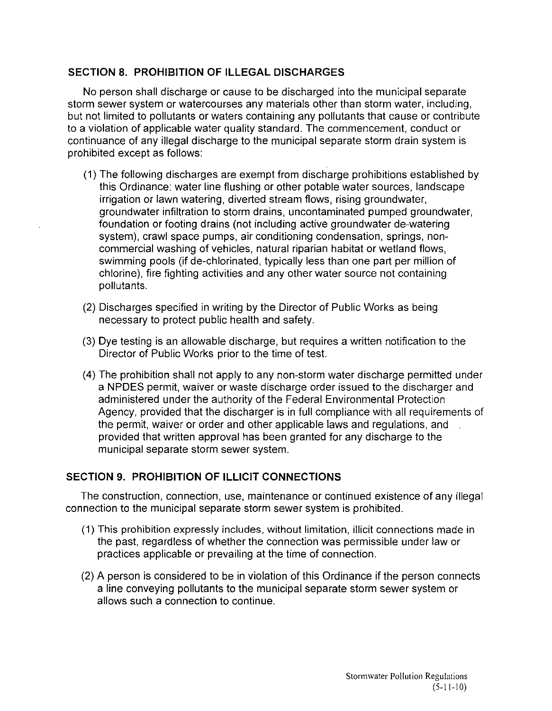## **SECTION S. PROHIBITION OF ILLEGAL DISCHARGES**

No person shall discharge or cause to be discharged into the municipal separate storm sewer system or watercourses any materials other than storm water, including, but not limited to pollutants or waters containing any pollutants that cause or contribute to a violation of applicable water quality standard. The commencement, conduct or continuance of any illegal discharge to the municipal separate storm drain system is prohibited except as follows:

- (1) The following discharges are exempt from discharge prohibitions established by this Ordinance: water line flushing or other potable water sources, landscape irrigation or lawn watering, diverted stream flows, rising groundwater, groundwater infiltration to storm drains, uncontaminated pumped groundwater, foundation or footing drains (not including active groundwater de-watering system), crawl space pumps, air conditioning condensation, springs, noncommercial washing of vehicles, natural riparian habitat or wetland flows, swimming pools (if de-chlorinated, typically less than one part per million of chlorine), fire fighting activities and any other water source not containing pollutants.
- (2) Discharges specified in writing by the Director of Public Works as being necessary to protect public health and safety.
- (3) Dye testing is an allowable discharge, but requires a written notification to the Director of Public Works prior to the time of test.
- (4) The prohibition shall not apply to any non-storm water discharge permitted under a NPDES permit, waiver or waste discharge order issued to the discharger and administered under the authority of the Federal Environmental Protection Agency, provided that the discharger is in full compliance with all requirements of the permit, waiver or order and other applicable laws and regulations, and provided that written approval has been granted for any discharge to the municipal separate storm sewer system.

# **SECTION 9. PROHIBITION OF ILLICIT CONNECTIONS**

The construction, connection, use, maintenance or continued existence of any illegal connection to the municipal separate storm sewer system is prohibited.

- (1) This prohibition expressly includes, without limitation, illicit connections made in the past, regardless of whether the connection was permissible under law or practices applicable or prevailing at the time of connection.
- (2) A person is considered to be in violation of this Ordinance if the person connects a line conveying pollutants to the municipal separate storm sewer system or allows such a connection to continue.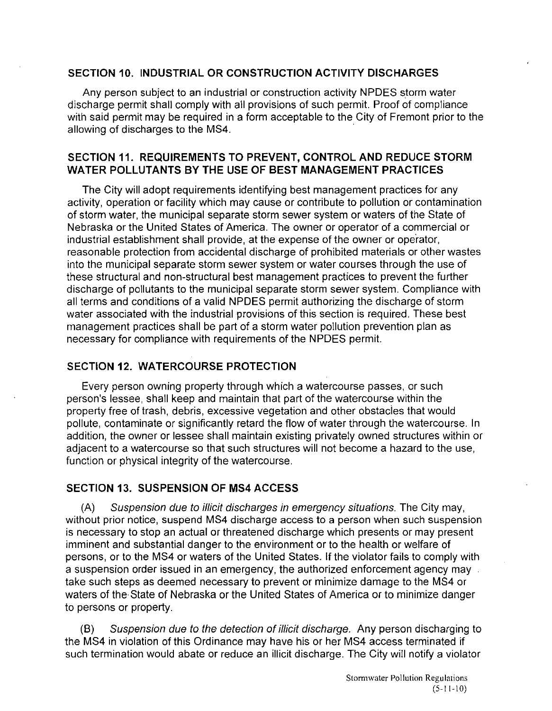#### **SECTION 10. INDUSTRIAL OR CONSTRUCTION ACTIVITY DISCHARGES**

Any person subject to an industrial or construction activity NPDES storm water discharge permit shall comply with all provisions of such permit. Proof of compliance with said permit may be required in a form acceptable to the City of Fremont prior to the allowing of discharges to the MS4.

## **SECTION 11. REQUIREMENTS TO PREVENT, CONTROL AND REDUCE STORM WATER POLLUTANTS BY THE USE OF BEST MANAGEMENT PRACTICES**

The City will adopt requirements identifying best management practices for any activity, operation or facility which may cause or contribute to pollution or contamination of storm water, the municipal separate storm sewer system or waters of the State of Nebraska or the United States of America. The owner or operator of a commercial or industrial establishment shall provide, at the expense of the owner or operator, reasonable protection from accidental discharge of prohibited materials or other wastes into the municipal separate storm sewer system or water courses through the use of these structural and non-structural best management practices to prevent the further discharge of pollutants to the municipal separate storm sewer system. Compliance with all terms and conditions of a valid NPDES permit authorizing the discharge of storm water associated with the industrial provisions of this section is required. These best management practices shall be part of a storm water pollution prevention plan as necessary for compliance with requirements of the NPDES permit.

### **SECTION 12. WATERCOURSE PROTECTION**

Every person owning property through which a watercourse passes, or such person's lessee, shall keep and maintain that part of the watercourse within the property free of trash, debris, excessive vegetation and other obstacles that would pollute, contaminate or significantly retard the flow of water through the watercourse. In addition, the owner or lessee shall maintain existing privately owned structures within or adjacent to a watercourse so that such structures will not become a hazard to the use, function or physical integrity of the watercourse.

### **SECTION 13. SUSPENSION OF MS4 ACCESS**

(A) Suspension due to illicit discharges in emergency situations. The City may, without prior notice, suspend MS4 discharge access to a person when such suspension is necessary to stop an actual or threatened discharge which presents or may present imminent and substantial danger to the environment or to the health or welfare of persons, or to the MS4 or waters of the United States. If the violator fails to comply with a suspension order issued in an emergency, the authorized enforcement agency may take such steps as deemed necessary to prevent or minimize damage to the MS4 or waters of the State of Nebraska or the United States of America or to minimize danger to persons or property.

(8) Suspension due to the detection of illicit discharge. Any person discharging to the MS4 in violation of this Ordinance may have his or her MS4 access terminated if such termination would abate or reduce an illicit discharge. The City will notify a violator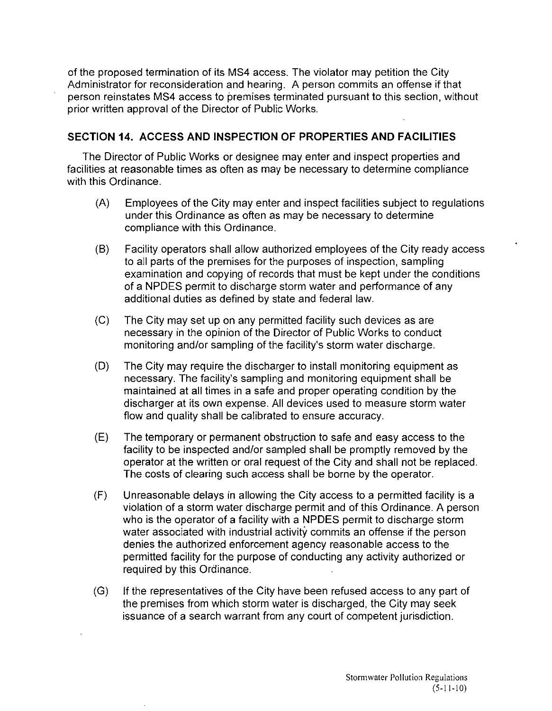of the proposed termination of its MS4 access. The violator may petition the City Administrator for reconsideration and hearing. A person commits an offense if that person reinstates MS4 access to premises terminated pursuant to this section, without prior written approval of the Director of Public Works.

# **SECTION 14. ACCESS AND INSPECTION OF PROPERTIES AND FACILITIES**

The Director of Public Works or designee may enter and inspect properties and facilities at reasonable times as often as may be necessary to determine compliance with this Ordinance.

- (A) Employees of the City may enter and inspect facilities subject to regulations under this Ordinance as often as may be necessary to determine compliance with this Ordinance.
- (8) Facility operators shall allow authorized employees of the City ready access to all parts of the premises for the purposes of inspection, sampling examination and copying of records that must be kept under the conditions of a NPDES permit to discharge storm water and performance of any additional duties as defined by state and federal law.
- (C) The City may set up on any permitted facility such devices as are necessary in the opinion of the Director of Public Works to conduct monitoring and/or sampling of the facility's storm water discharge.
- (D) The City may require the discharger to install monitoring equipment as necessary. The facility's sampling and monitoring equipment shall be maintained at all times in a safe and proper operating condition by the discharger at its own expense. All devices used to measure storm water flow and quality shall be calibrated to ensure accuracy.
- (E) The temporary or permanent obstruction to safe and easy access to the facility to be inspected and/or sampled shall be promptly removed by the operator at the written or oral request of the City and shall not be replaced. The costs of clearing such access shall be borne by the operator.
- (F) Unreasonable delays in allowing the City access to a permitted facility is a violation of a storm water discharge permit and of this Ordinance. A person who is the operator of a facility with a NPDES permit to discharge storm water associated with industrial activity commits an offense if the person denies the authorized enforcement agency reasonable access to the permitted facility for the purpose of conducting any activity authorized or required by this Ordinance.
- (G) **If** the representatives of the City have been refused access to any part of the premises from which storm water is discharged, the City may seek issuance of a search warrant from any court of competent jurisdiction.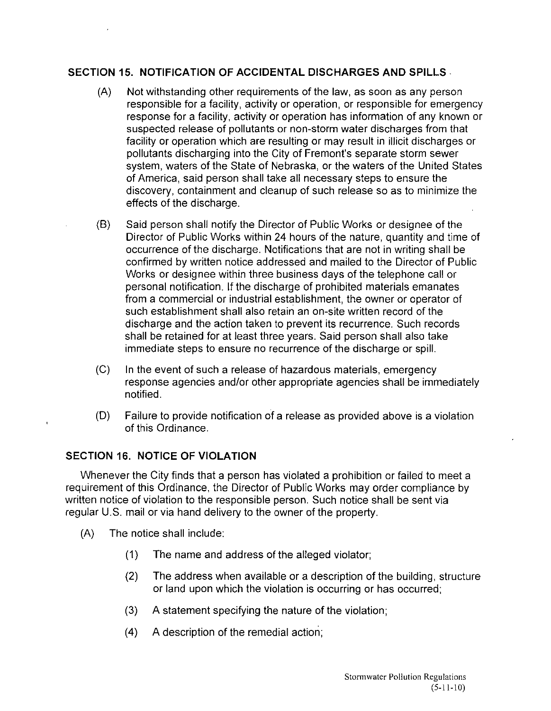# **SECTION 15. NOTIFICATION OF ACCIDENTAL DISCHARGES AND SPILLS·**

- (A) Not withstanding other requirements of the law, as soon as any person responsible for a facility, activity or operation, or responsible for emergency response for a facility, activity or operation has information of any known or suspected release of pollutants or non-storm water discharges from that facility or operation which are resulting or may result in illicit discharges or pollutants discharging into the City of Fremont's separate storm sewer system, waters of the State of Nebraska, or the waters of the United States of America, said person shall take all necessary steps to ensure the discovery, containment and cleanup of such release so as to minimize the effects of the discharge.
- (8) Said person shall notify the Director of Public Works or designee of the Director of Public Works within 24 hours of the nature, quantity and time of occurrence of the discharge. Notifications that are not in writing shall be confirmed by written notice addressed and mailed to the Director of Public Works or designee within three business days of the telephone call or personal notification. If the discharge of prohibited materials emanates from a commercial or industrial establishment, the owner or operator of such establishment shall also retain an on-site written record of the discharge and the action taken to prevent its recurrence. Such records shall be retained for at least three years. Said person shall also take immediate steps to ensure no recurrence of the discharge or spill.
- (C) In the event of such a release of hazardous materials, emergency response agencies and/or other appropriate agencies shall be immediately notified.
- (D) Failure to provide notification of a release as provided above is a violation of this Ordinance.

# **SECTION 16. NOTICE OF VIOLATION**

Whenever the City finds that a person has violated a prohibition or failed to meet a requirement of this Ordinance, the Director of Public Works may order compliance by written notice of violation to the responsible person. Such notice shall be sent via regular U.S. mail or via hand delivery to the owner of the property.

- (A) The notice shall include:
	- (1) The name and address of the alleged violator;
	- (2) The address when available or a description of the building, structure or land upon which the violation is occurring or has occurred;
	- (3) A statement specifying the nature of the violation;
	- (4) A description of the remedial action;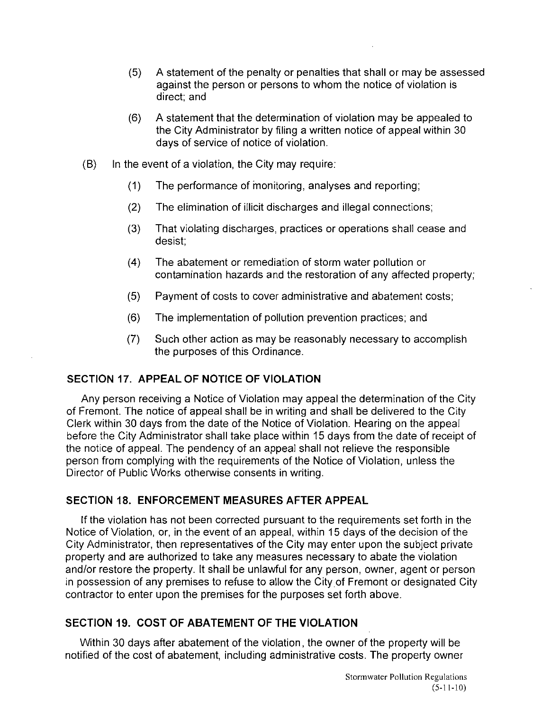- (5) A statement of the penalty or penalties that shall or may be assessed against the person or persons to whom the notice of violation is direct; and
- (6) A statement that the determination of violation may be appealed to the City Administrator by filing a written notice of appeal within 30 days of service of notice of violation.
- $(B)$  In the event of a violation, the City may require:
	- (1) The performance of monitoring, analyses and reporting;
	- (2) The elimination of illicit discharges and illegal connections;
	- (3) That violating discharges, practices or operations shall cease and desist;
	- (4) The abatement or remediation of storm water pollution or contamination hazards and the restoration of any affected property;
	- (5) Payment of costs to cover administrative and abatement costs;
	- (6) The implementation of pollution prevention practices; and
	- (7) Such other action as may be reasonably necessary to accomplish the purposes of this Ordinance.

### **SECTION** 17. **APPEAL OF NOTICE OF VIOLATION**

Any person receiving a Notice of Violation may appeal the determination of the City of Fremont. The notice of appeal shall be in writing and shall be delivered to the City Clerk within 30 days from the date of the Notice of Violation. Hearing on the appeal before the City Administrator shall take place within 15 days from the date of receipt of the notice of appeal. The pendency of an appeal shall not relieve the responsible person from complying with the requirements of the Notice of Violation, unless the Director of Public Works otherwise consents in writing.

### **SECTION 18. ENFORCEMENT MEASURES AFTER APPEAL**

If the violation has not been corrected pursuant to the requirements set forth in the Notice of Violation, or, in the event of an appeal, within 15 days of the decision of the City Administrator, then representatives of the City may enter upon the subject private property and are authorized to take any measures necessary to abate the violation and/or restore the property. It shall be unlawful for any person, owner, agent or person in possession of any premises to refuse to allow the Cityof Fremont or designated City contractor to enter upon the premises for the purposes set forth above.

### **SECTION 19. COST OF ABATEMENT OF THE VIOLATION**

Within 30 days after abatement of the violation, the owner of the property will be notified of the cost of abatement, including administrative costs. The property owner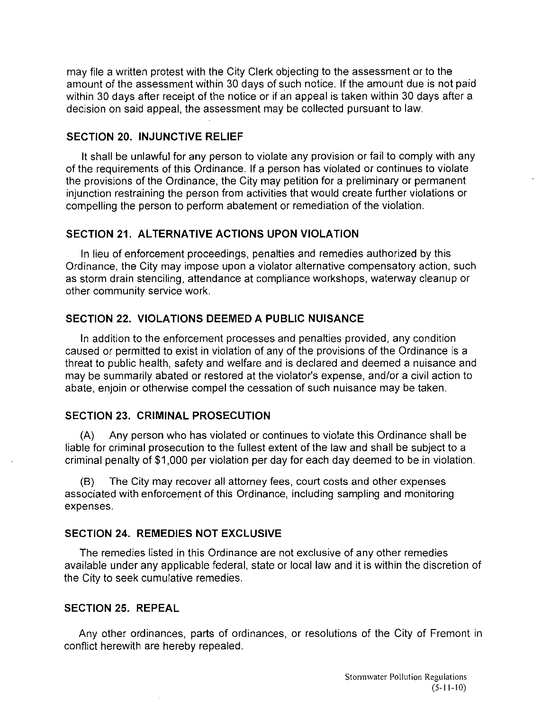may file a written protest with the City Clerk objecting to the assessment or to the amount of the assessment within 30 days of such notice. If the amount due is not paid within 30 days after receipt of the notice or if an appeal is taken within 30 days after a decision on said appeal, the assessment may be collected pursuant to law.

#### **SECTION 20. INJUNCTIVE RELIEF**

**It** shall be unlawful for any person to violate any provision or fail to comply with any of the requirements of this Ordinance. If a person has violated or continues to violate the provisions of the Ordinance, the City may petition for a preliminary or permanent injunction restraining the person from activities that would create further violations or compelling the person to perform abatement or remediation of the violation.

### **SECTION 21. ALTERNATIVE ACTIONS UPON VIOLATION**

In lieu of enforcement proceedings, penalties and remedies authorized by this Ordinance, the City may impose upon a violator altemative compensatory action, such as storm drain stenciling, attendance at compliance workshops, waterway cleanup or other community service work.

# **SECTION 22. VIOLATIONS DEEMED A PUBLIC NUISANCE**

In addition to the enforcement processes and penalties provided, any condition caused or permitted to exist in violation of any of the provisions of the Ordinance is a threat to public health, safety and welfare and is declared and deemed a nuisance and may be summarily abated or restored at the violator's expense, and/or a civil action to abate, enjoin or otherwise compel the cessation of such nuisance may be taken.

### **SECTION 23. CRIMINAL PROSECUTION**

(A) Any person who has violated or continues to violate this Ordinance shall be liable for criminal prosecution to the fullest extent of the law and shall be subject to a criminal penalty of \$1 ,000 per violation per day for each day deemed to be in violation.

(8) The City may recover all attorney fees, court costs and other expenses associated with enforcement of this Ordinance, including sampling and monitoring expenses.

### **SECTION 24. REMEDIES NOT EXCLUSIVE**

The remedies listed in this Ordinance are not exclusive of any other remedies available under any applicable federal, state or local law and it is within the discretion of the City to seek cumulative remedies.

### **SECTION 25. REPEAL**

Any other ordinances, parts of ordinances, or resolutions of the City of Fremont in conflict herewith are hereby repealed.